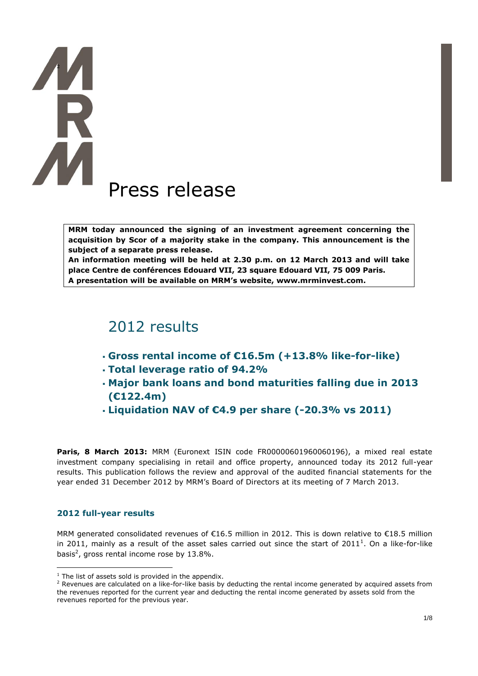# **TAR** Press release

**MRM today announced the signing of an investment agreement concerning the acquisition by Scor of a majority stake in the company. This announcement is the subject of a separate press release.**

**An information meeting will be held at 2.30 p.m. on 12 March 2013 and will take place Centre de conférences Edouard VII, 23 square Edouard VII, 75 009 Paris. A presentation will be available on MRM's website, www.mrminvest.com.**

# 2012 results

- **Gross rental income of €16.5m (+13.8% like-for-like)**
- **Total leverage ratio of 94.2%**
- **Major bank loans and bond maturities falling due in 2013 (€122.4m)**
- **Liquidation NAV of €4.9 per share (-20.3% vs 2011)**

**Paris, 8 March 2013:** MRM (Euronext ISIN code FR00000601960060196), a mixed real estate investment company specialising in retail and office property, announced today its 2012 full-year results. This publication follows the review and approval of the audited financial statements for the year ended 31 December 2012 by MRM's Board of Directors at its meeting of 7 March 2013.

### **2012 full-year results**

 $\overline{a}$ 

MRM generated consolidated revenues of €16.5 million in 2012. This is down relative to €18.5 million in 2011, mainly as a result of the asset sales carried out since the start of 2011<sup>1</sup>. On a like-for-like basis<sup>2</sup>, gross rental income rose by 13.8%.

 $1$  The list of assets sold is provided in the appendix.

<sup>&</sup>lt;sup>2</sup> Revenues are calculated on a like-for-like basis by deducting the rental income generated by acquired assets from the revenues reported for the current year and deducting the rental income generated by assets sold from the revenues reported for the previous year.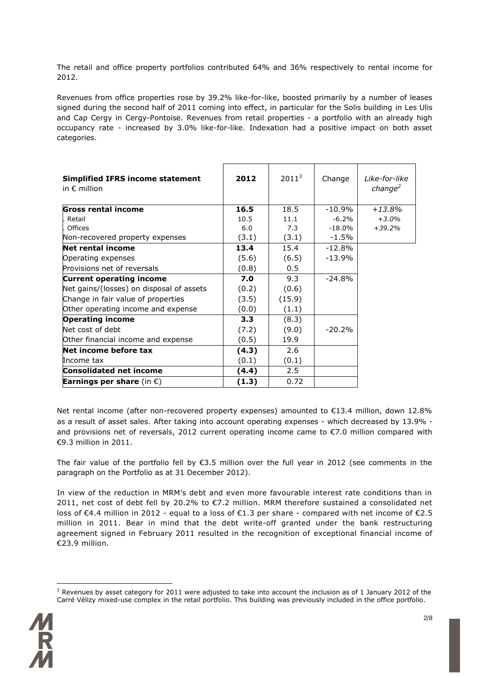The retail and office property portfolios contributed 64% and 36% respectively to rental income for 2012.

Revenues from office properties rose by 39.2% like-for-like, boosted primarily by a number of leases signed during the second half of 2011 coming into effect, in particular for the Solis building in Les Ulis and Cap Cergy in Cergy-Pontoise. Revenues from retail properties - a portfolio with an already high occupancy rate - increased by 3.0% like-for-like. Indexation had a positive impact on both asset categories.

| <b>Simplified IFRS income statement</b><br>in $\epsilon$ million | 2012  | $2011^3$ | Change    | I ike-for-like<br>change <sup>2</sup> |
|------------------------------------------------------------------|-------|----------|-----------|---------------------------------------|
| Gross rental income                                              | 16.5  | 18.5     | $-10.9\%$ | $+13.8\%$                             |
| Retail                                                           | 10.5  | 11.1     | $-6.2%$   | $+3.0%$                               |
| Offices                                                          | 6.0   | 7.3      | -18.0%    | $+39.2%$                              |
| Non-recovered property expenses                                  | (3.1) | (3.1)    | $-1.5\%$  |                                       |
| <b>Net rental income</b>                                         | 13.4  | 15.4     | $-12.8%$  |                                       |
| Operating expenses                                               | (5.6) | (6.5)    | $-13.9%$  |                                       |
| Provisions net of reversals                                      | (0.8) | 0.5      |           |                                       |
| <b>Current operating income</b>                                  | 7.0   | 9.3      | $-24.8%$  |                                       |
| Net gains/(losses) on disposal of assets                         | (0.2) | (0.6)    |           |                                       |
| Change in fair value of properties                               | (3.5) | (15.9)   |           |                                       |
| Other operating income and expense                               | (0.0) | (1.1)    |           |                                       |
| <b>Operating income</b>                                          | 3.3   | (8.3)    |           |                                       |
| Net cost of debt                                                 | (7.2) | (9.0)    | $-20.2%$  |                                       |
| Other financial income and expense                               | (0.5) | 19.9     |           |                                       |
| Net income before tax                                            | (4.3) | 2.6      |           |                                       |
| Income tax                                                       | (0.1) | (0.1)    |           |                                       |
| <b>Consolidated net income</b>                                   | (4.4) | 2.5      |           |                                       |
| <b>Earnings per share</b> (in $\epsilon$ )                       | (1.3) | 0.72     |           |                                       |

Net rental income (after non-recovered property expenses) amounted to €13.4 million, down 12.8% as a result of asset sales. After taking into account operating expenses - which decreased by 13.9% and provisions net of reversals, 2012 current operating income came to €7.0 million compared with €9.3 million in 2011.

The fair value of the portfolio fell by €3.5 million over the full year in 2012 (see comments in the paragraph on the Portfolio as at 31 December 2012).

In view of the reduction in MRM's debt and even more favourable interest rate conditions than in 2011, net cost of debt fell by 20.2% to €7.2 million. MRM therefore sustained a consolidated net loss of €4.4 million in 2012 - equal to a loss of €1.3 per share - compared with net income of €2.5 million in 2011. Bear in mind that the debt write-off granted under the bank restructuring agreement signed in February 2011 resulted in the recognition of exceptional financial income of €23.9 million.

<sup>&</sup>lt;sup>3</sup> Revenues by asset category for 2011 were adjusted to take into account the inclusion as of 1 January 2012 of the Carré Vélizy mixed-use complex in the retail portfolio. This building was previously included in the office portfolio.

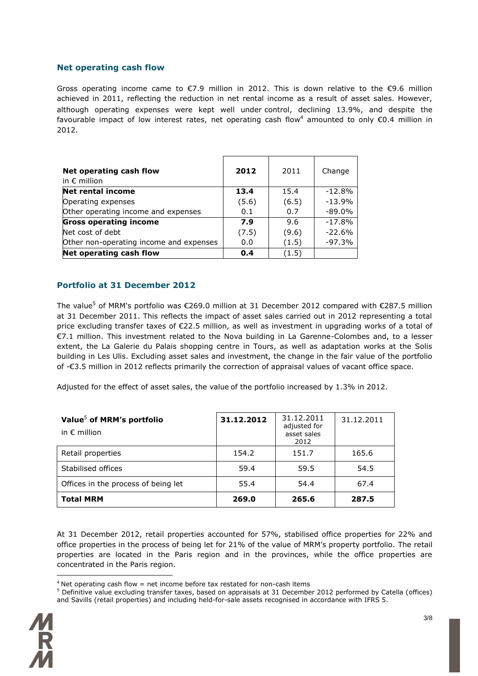### **Net operating cash flow**

Gross operating income came to  $\epsilon$ 7.9 million in 2012. This is down relative to the  $\epsilon$ 9.6 million achieved in 2011, reflecting the reduction in net rental income as a result of asset sales. However, although operating expenses were kept well under control, declining 13.9%, and despite the favourable impact of low interest rates, net operating cash flow<sup>4</sup> amounted to only  $\epsilon$ 0.4 million in 2012.

| Net operating cash flow<br>in $\epsilon$ million | 2012  | 2011  | Change   |
|--------------------------------------------------|-------|-------|----------|
| <b>Net rental income</b>                         | 13.4  | 15.4  | $-12.8%$ |
| Operating expenses                               | (5.6) | (6.5) | $-13.9%$ |
| Other operating income and expenses              | 0.1   | 0.7   | $-89.0%$ |
| <b>Gross operating income</b>                    | 7.9   | 9.6   | $-17.8%$ |
| Net cost of debt                                 | (7.5) | (9.6) | $-22.6%$ |
| Other non-operating income and expenses          | 0.0   | (1.5) | $-97.3%$ |
| Net operating cash flow                          | 0.4   | (1.5) |          |

### **Portfolio at 31 December 2012**

The value<sup>5</sup> of MRM's portfolio was €269.0 million at 31 December 2012 compared with €287.5 million at 31 December 2011. This reflects the impact of asset sales carried out in 2012 representing a total price excluding transfer taxes of €22.5 million, as well as investment in upgrading works of a total of €7.1 million. This investment related to the Nova building in La Garenne-Colombes and, to a lesser extent, the La Galerie du Palais shopping centre in Tours, as well as adaptation works at the Solis building in Les Ulis. Excluding asset sales and investment, the change in the fair value of the portfolio of -€3.5 million in 2012 reflects primarily the correction of appraisal values of vacant office space.

Adjusted for the effect of asset sales, the value of the portfolio increased by 1.3% in 2012.

| Value <sup>5</sup> of MRM's portfolio<br>in $\epsilon$ million | 31.12.2012 | 31.12.2011<br>adjusted for<br>asset sales<br>2012 | 31.12.2011 |
|----------------------------------------------------------------|------------|---------------------------------------------------|------------|
| Retail properties                                              | 154.2      | 151.7                                             | 165.6      |
| Stabilised offices                                             | 59.4       | 59.5                                              | 54.5       |
| Offices in the process of being let                            | 55.4       | 54.4                                              | 67.4       |
| <b>Total MRM</b>                                               | 269.0      | 265.6                                             | 287.5      |

At 31 December 2012, retail properties accounted for 57%, stabilised office properties for 22% and office properties in the process of being let for 21% of the value of MRM's property portfolio. The retail properties are located in the Paris region and in the provinces, while the office properties are concentrated in the Paris region.

<sup>&</sup>lt;sup>5</sup> Definitive value excluding transfer taxes, based on appraisals at 31 December 2012 performed by Catella (offices) and Savills (retail properties) and including held-for-sale assets recognised in accordance with IFRS 5.



 $4$  Net operating cash flow = net income before tax restated for non-cash items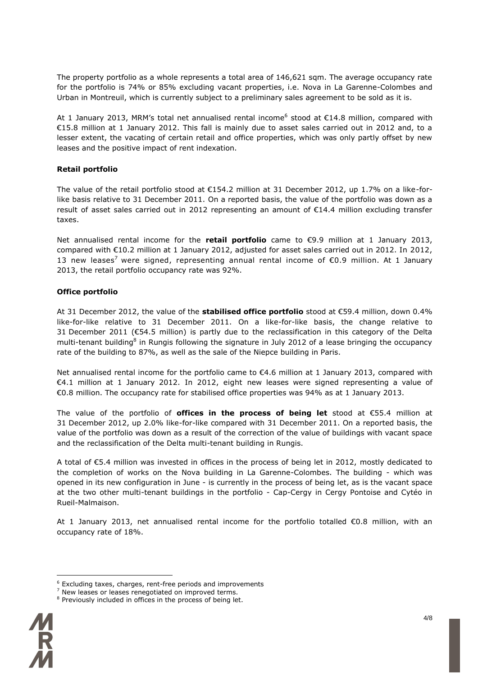The property portfolio as a whole represents a total area of 146,621 sqm. The average occupancy rate for the portfolio is 74% or 85% excluding vacant properties, i.e. Nova in La Garenne-Colombes and Urban in Montreuil, which is currently subject to a preliminary sales agreement to be sold as it is.

At 1 January 2013, MRM's total net annualised rental income<sup>6</sup> stood at  $\epsilon$ 14.8 million, compared with €15.8 million at 1 January 2012. This fall is mainly due to asset sales carried out in 2012 and, to a lesser extent, the vacating of certain retail and office properties, which was only partly offset by new leases and the positive impact of rent indexation.

### **Retail portfolio**

The value of the retail portfolio stood at €154.2 million at 31 December 2012, up 1.7% on a like-forlike basis relative to 31 December 2011. On a reported basis, the value of the portfolio was down as a result of asset sales carried out in 2012 representing an amount of €14.4 million excluding transfer taxes.

Net annualised rental income for the **retail portfolio** came to €9.9 million at 1 January 2013, compared with €10.2 million at 1 January 2012, adjusted for asset sales carried out in 2012. In 2012, 13 new leases<sup>7</sup> were signed, representing annual rental income of  $\epsilon$ 0.9 million. At 1 January 2013, the retail portfolio occupancy rate was 92%.

### **Office portfolio**

At 31 December 2012, the value of the **stabilised office portfolio** stood at €59.4 million, down 0.4% like-for-like relative to 31 December 2011. On a like-for-like basis, the change relative to 31 December 2011 (€54.5 million) is partly due to the reclassification in this category of the Delta multi-tenant building<sup>8</sup> in Rungis following the signature in July 2012 of a lease bringing the occupancy rate of the building to 87%, as well as the sale of the Niepce building in Paris.

Net annualised rental income for the portfolio came to €4.6 million at 1 January 2013, compared with €4.1 million at 1 January 2012. In 2012, eight new leases were signed representing a value of €0.8 million. The occupancy rate for stabilised office properties was 94% as at 1 January 2013.

The value of the portfolio of **offices in the process of being let** stood at €55.4 million at 31 December 2012, up 2.0% like-for-like compared with 31 December 2011. On a reported basis, the value of the portfolio was down as a result of the correction of the value of buildings with vacant space and the reclassification of the Delta multi-tenant building in Rungis.

A total of €5.4 million was invested in offices in the process of being let in 2012, mostly dedicated to the completion of works on the Nova building in La Garenne-Colombes. The building - which was opened in its new configuration in June - is currently in the process of being let, as is the vacant space at the two other multi-tenant buildings in the portfolio - Cap-Cergy in Cergy Pontoise and Cytéo in Rueil-Malmaison.

At 1 January 2013, net annualised rental income for the portfolio totalled €0.8 million, with an occupancy rate of 18%.

<sup>8</sup> Previously included in offices in the process of being let.



<sup>6</sup> Excluding taxes, charges, rent-free periods and improvements

<sup>7</sup> New leases or leases renegotiated on improved terms.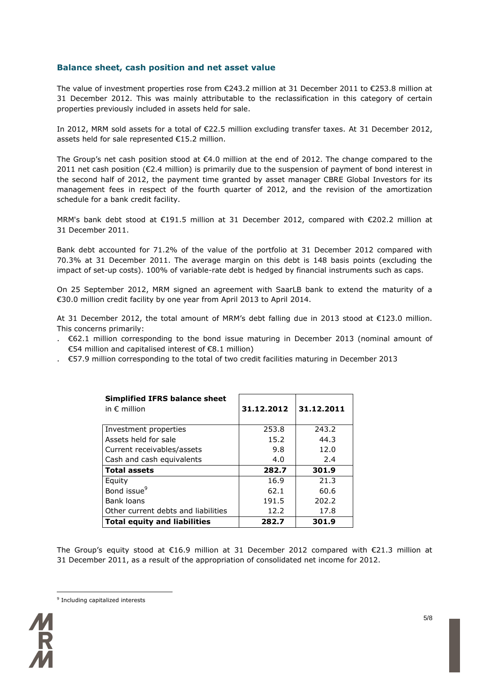### **Balance sheet, cash position and net asset value**

The value of investment properties rose from €243.2 million at 31 December 2011 to €253.8 million at 31 December 2012. This was mainly attributable to the reclassification in this category of certain properties previously included in assets held for sale.

In 2012, MRM sold assets for a total of €22.5 million excluding transfer taxes. At 31 December 2012, assets held for sale represented €15.2 million.

The Group's net cash position stood at €4.0 million at the end of 2012. The change compared to the 2011 net cash position ( $\epsilon$ 2.4 million) is primarily due to the suspension of payment of bond interest in the second half of 2012, the payment time granted by asset manager CBRE Global Investors for its management fees in respect of the fourth quarter of 2012, and the revision of the amortization schedule for a bank credit facility.

MRM's bank debt stood at €191.5 million at 31 December 2012, compared with €202.2 million at 31 December 2011.

Bank debt accounted for 71.2% of the value of the portfolio at 31 December 2012 compared with 70.3% at 31 December 2011. The average margin on this debt is 148 basis points (excluding the impact of set-up costs). 100% of variable-rate debt is hedged by financial instruments such as caps.

On 25 September 2012, MRM signed an agreement with SaarLB bank to extend the maturity of a €30.0 million credit facility by one year from April 2013 to April 2014.

At 31 December 2012, the total amount of MRM's debt falling due in 2013 stood at €123.0 million. This concerns primarily:

- . €62.1 million corresponding to the bond issue maturing in December 2013 (nominal amount of €54 million and capitalised interest of €8.1 million)
- . €57.9 million corresponding to the total of two credit facilities maturing in December 2013

| <b>Simplified IFRS balance sheet</b><br>in $\epsilon$ million | 31.12.2012 | 31.12.2011 |
|---------------------------------------------------------------|------------|------------|
| Investment properties                                         | 253.8      | 243.2      |
| Assets held for sale                                          | 15.2       | 44.3       |
| Current receivables/assets                                    | 9.8        | 12.0       |
| Cash and cash equivalents                                     | 4.0        | 2.4        |
| <b>Total assets</b>                                           | 282.7      | 301.9      |
| Equity                                                        | 16.9       | 21.3       |
| Bond issue <sup>9</sup>                                       | 62.1       | 60.6       |
| Bank loans                                                    | 191.5      | 202.2      |
| Other current debts and liabilities                           | 12.2       | 17.8       |
| <b>Total equity and liabilities</b>                           | 282.7      | 301.9      |

The Group's equity stood at €16.9 million at 31 December 2012 compared with €21.3 million at 31 December 2011, as a result of the appropriation of consolidated net income for 2012.

<sup>&</sup>lt;sup>9</sup> Including capitalized interests

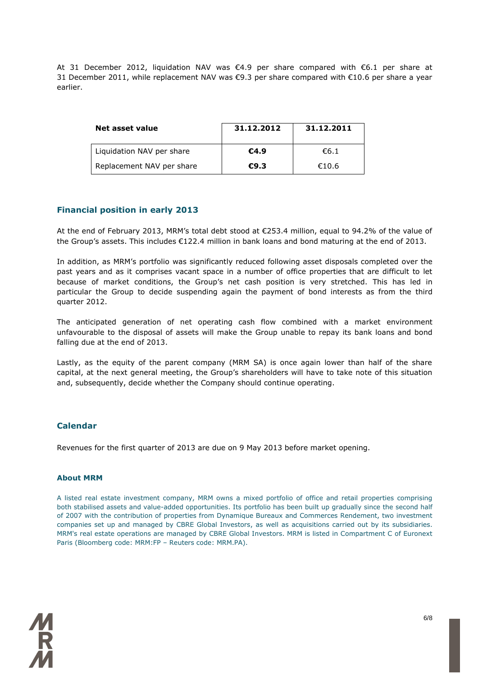At 31 December 2012, liquidation NAV was €4.9 per share compared with €6.1 per share at 31 December 2011, while replacement NAV was €9.3 per share compared with €10.6 per share a year earlier.

| Net asset value           | 31.12.2012 | 31.12.2011 |
|---------------------------|------------|------------|
| Liquidation NAV per share | €4.9       | €6.1       |
| Replacement NAV per share | €9.3       | €10.6      |

### **Financial position in early 2013**

At the end of February 2013, MRM's total debt stood at €253.4 million, equal to 94.2% of the value of the Group's assets. This includes €122.4 million in bank loans and bond maturing at the end of 2013.

In addition, as MRM's portfolio was significantly reduced following asset disposals completed over the past years and as it comprises vacant space in a number of office properties that are difficult to let because of market conditions, the Group's net cash position is very stretched. This has led in particular the Group to decide suspending again the payment of bond interests as from the third quarter 2012.

The anticipated generation of net operating cash flow combined with a market environment unfavourable to the disposal of assets will make the Group unable to repay its bank loans and bond falling due at the end of 2013.

Lastly, as the equity of the parent company (MRM SA) is once again lower than half of the share capital, at the next general meeting, the Group's shareholders will have to take note of this situation and, subsequently, decide whether the Company should continue operating.

### **Calendar**

Revenues for the first quarter of 2013 are due on 9 May 2013 before market opening.

### **About MRM**

A listed real estate investment company, MRM owns a mixed portfolio of office and retail properties comprising both stabilised assets and value-added opportunities. Its portfolio has been built up gradually since the second half of 2007 with the contribution of properties from Dynamique Bureaux and Commerces Rendement, two investment companies set up and managed by CBRE Global Investors, as well as acquisitions carried out by its subsidiaries. MRM's real estate operations are managed by CBRE Global Investors. MRM is listed in Compartment C of Euronext Paris (Bloomberg code: MRM:FP – Reuters code: MRM.PA).

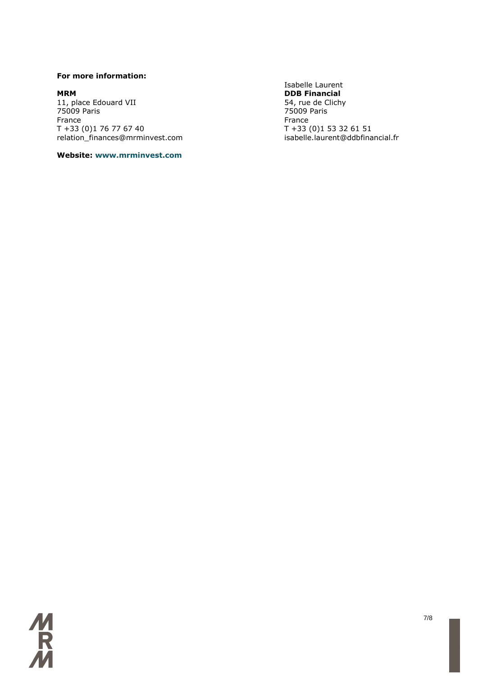### **For more information:**

**MRM**<br> **DDB Financial**<br> **DDB Financial**<br>
54, rue de Clichy 11, place Edouard VII<br>75009 Paris 75009 Paris 75009 Paris France **France France France** T +33 (0)1 76 77 67 40<br>T +33 (0)1 53 32 61 51<br>relation finances@mrminvest.com isabelle.laurent@ddbfinancial.fr relation\_finances@mrminvest.com

### **Website: www.mrminvest.com**

Isabelle Laurent